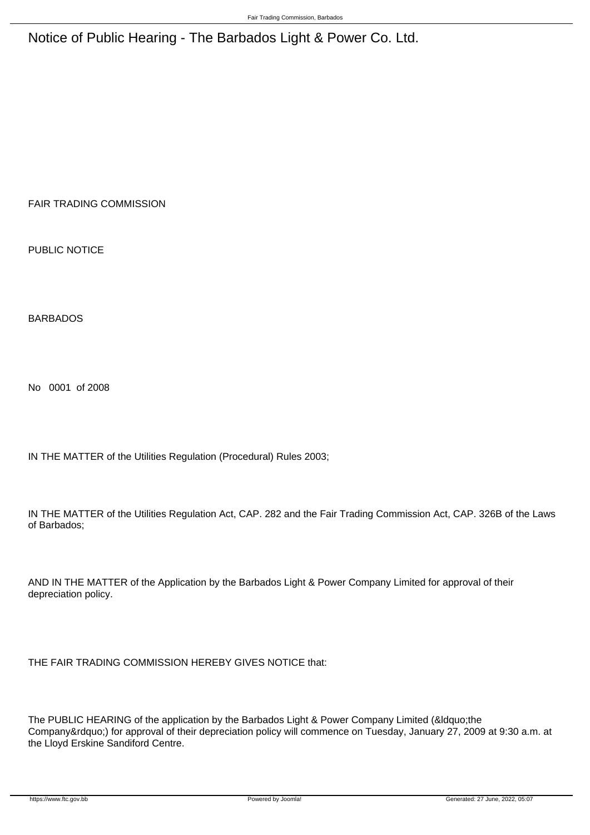Notice of Public Hearing - The Barbados Light & Power Co. Ltd.

FAIR TRADING COMMISSION

PUBLIC NOTICE

BARBADOS

No 0001 of 2008

IN THE MATTER of the Utilities Regulation (Procedural) Rules 2003;

IN THE MATTER of the Utilities Regulation Act, CAP. 282 and the Fair Trading Commission Act, CAP. 326B of the Laws of Barbados;

AND IN THE MATTER of the Application by the Barbados Light & Power Company Limited for approval of their depreciation policy.

THE FAIR TRADING COMMISSION HEREBY GIVES NOTICE that:

The PUBLIC HEARING of the application by the Barbados Light & Power Company Limited (&Idquo;the Company") for approval of their depreciation policy will commence on Tuesday, January 27, 2009 at 9:30 a.m. at the Lloyd Erskine Sandiford Centre.